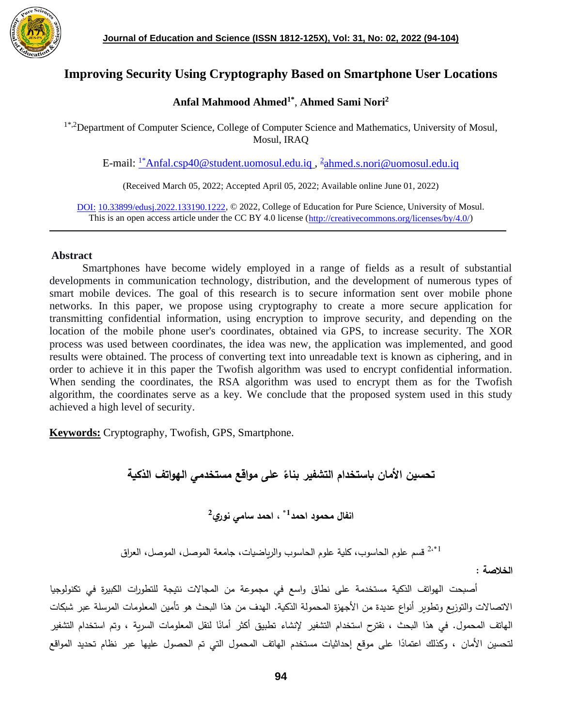

# **Improving Security Using Cryptography Based on Smartphone User Locations**

## **Anfal Mahmood Ahmed1\*** , **Ahmed Sami Nori<sup>2</sup>**

<sup>1\*,2</sup>Department of Computer Science, College of Computer Science and Mathematics, University of Mosul, Mosul, IRAQ

E-mail: <u><sup>1\*</sup>[Anfal.csp40@student.uomosul.edu.iq](mailto:1*Anfal.csp40@student.uomosul.edu.iq) , <sup>[2](mailto:2ahmed.s.nori@uomosul.edu.iq)</sup>[ahmed.s.nori@uomosul.edu.iq](mailto:2ahmed.s.nori@uomosul.edu.iq)</u>

(Received March 05, 2022; Accepted April 05, 2022; Available online June 01, 2022)

DOI: 10.33899/edusj.2022.133190.1222, © 2022, College of Education for Pure Science, University of Mosul. This is an open access article under the CC BY 4.0 license [\(http://creativecommons.org/licenses/by/4.0/\)](http://creativecommons.org/licenses/by/4.0/)

### **Abstract**

 Smartphones have become widely employed in a range of fields as a result of substantial developments in communication technology, distribution, and the development of numerous types of smart mobile devices. The goal of this research is to secure information sent over mobile phone networks. In this paper, we propose using cryptography to create a more secure application for transmitting confidential information, using encryption to improve security, and depending on the location of the mobile phone user's coordinates, obtained via GPS, to increase security. The XOR process was used between coordinates, the idea was new, the application was implemented, and good results were obtained. The process of converting text into unreadable text is known as ciphering, and in order to achieve it in this paper the Twofish algorithm was used to encrypt confidential information. When sending the coordinates, the RSA algorithm was used to encrypt them as for the Twofish algorithm, the coordinates serve as a key. We conclude that the proposed system used in this study achieved a high level of security.

**Keywords:** Cryptography, Twofish, GPS, Smartphone.

**ً على مواقع مستخدمي الهواتف الذكية تحسين األمان باستخدام التشفير بناء**

**، احمد سامي نوري<sup>2</sup> \*1 انفال محمود احمد**

$$
^{2, * 1}
$$
 قسم علوم الحلسواب والارياضيات، جامعة الموصل، الموصل، العراق

**الخالصة** :

أصبحت الهواتف الذكية مستخدمة على نطاق واسع في مجموعة من المجاالت نتيجة للتطورات الكبيرة في تكنولوجيا االتصاالت والتوزيع وتطوير أنواع عديدة من األجهزة المحمولة الذكية. الهدف من هذا البحث هو تأمين المعلومات المرسلة عبر شبكات الـهاتف المحمول. في هذا البحث ، نقترح استخدام التشفير لإنشاء تطبيق أكثر أمانًا لنقل المعلومات السرية ، وتم استخدام التشفير لتحسين الأمان ، وكذلك اعتمادًا على موقع إحداثيات مستخدم الهاتف المحمول التي تم الحصول عليها عبر نظام تحديد المواقع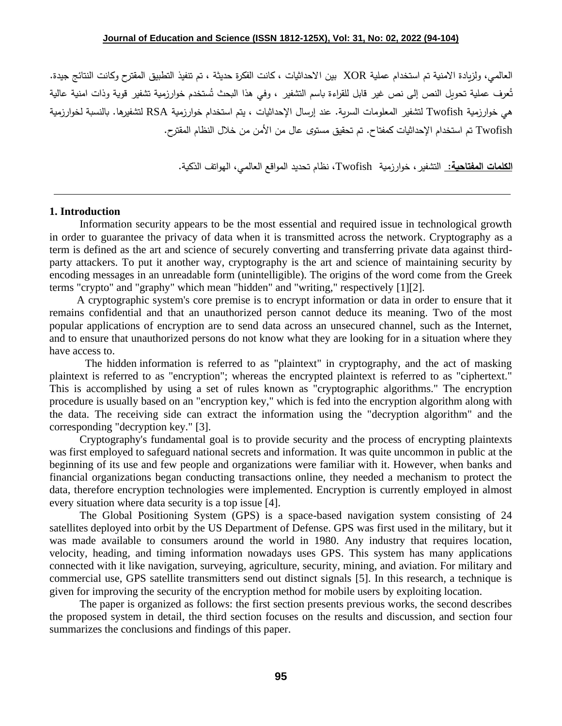العالمي، ولزيادة االمنية تم استخدام عملية XOR بين االحداثيات ، كانت الفكرة حديثة ، تم تنفيذ التطبيق المقترح وكانت النتائج جيدة. تُعرف عملية تحويل النص إلى نص غير قابل للقراءة باسم التشفير ، وفي هذا البحث تُستخدم خوارزمية تشفير قوية وذات امنية عالية هي خوارزمية Twofish لتشفير المعلومات السرية. عند إرسال اإلحداثيات ، يتم استخدام خوارزمية RSA لتشفيرها. بالنسبة لخوارزمية Twofish تم استخدام اإلحداثيات كمفتاح. تم تحقيق مستوى عال من األمن من خالل النظام المقترح.

**الكلمات المفتاحية:** التشفير، خوارزمية Twofish، نظام تحديد المواقع العالمي، الهواتف الذكية.

### **1. Introduction**

 Information security appears to be the most essential and required issue in technological growth in order to guarantee the privacy of data when it is transmitted across the network. Cryptography as a term is defined as the art and science of securely converting and transferring private data against thirdparty attackers. To put it another way, cryptography is the art and science of maintaining security by encoding messages in an unreadable form (unintelligible). The origins of the word come from the Greek terms "crypto" and "graphy" which mean "hidden" and "writing," respectively [1][2].

 A cryptographic system's core premise is to encrypt information or data in order to ensure that it remains confidential and that an unauthorized person cannot deduce its meaning. Two of the most popular applications of encryption are to send data across an unsecured channel, such as the Internet, and to ensure that unauthorized persons do not know what they are looking for in a situation where they have access to.

 The hidden information is referred to as "plaintext" in cryptography, and the act of masking plaintext is referred to as "encryption"; whereas the encrypted plaintext is referred to as "ciphertext." This is accomplished by using a set of rules known as "cryptographic algorithms." The encryption procedure is usually based on an "encryption key," which is fed into the encryption algorithm along with the data. The receiving side can extract the information using the "decryption algorithm" and the corresponding "decryption key." [3].

 Cryptography's fundamental goal is to provide security and the process of encrypting plaintexts was first employed to safeguard national secrets and information. It was quite uncommon in public at the beginning of its use and few people and organizations were familiar with it. However, when banks and financial organizations began conducting transactions online, they needed a mechanism to protect the data, therefore encryption technologies were implemented. Encryption is currently employed in almost every situation where data security is a top issue [4].

 The Global Positioning System (GPS) is a space-based navigation system consisting of 24 satellites deployed into orbit by the US Department of Defense. GPS was first used in the military, but it was made available to consumers around the world in 1980. Any industry that requires location, velocity, heading, and timing information nowadays uses GPS. This system has many applications connected with it like navigation, surveying, agriculture, security, mining, and aviation. For military and commercial use, GPS satellite transmitters send out distinct signals [5]. In this research, a technique is given for improving the security of the encryption method for mobile users by exploiting location.

 The paper is organized as follows: the first section presents previous works, the second describes the proposed system in detail, the third section focuses on the results and discussion, and section four summarizes the conclusions and findings of this paper.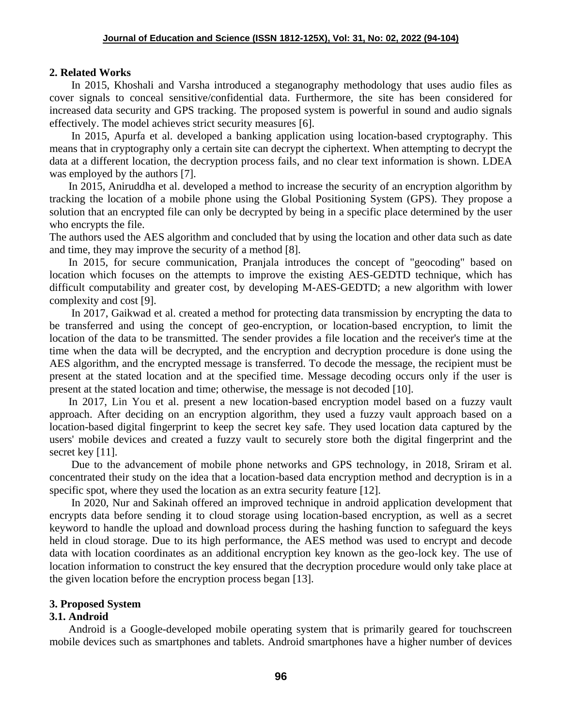## **2. Related Works**

 In 2015, Khoshali and Varsha introduced a steganography methodology that uses audio files as cover signals to conceal sensitive/confidential data. Furthermore, the site has been considered for increased data security and GPS tracking. The proposed system is powerful in sound and audio signals effectively. The model achieves strict security measures [6].

 In 2015, Apurfa et al. developed a banking application using location-based cryptography. This means that in cryptography only a certain site can decrypt the ciphertext. When attempting to decrypt the data at a different location, the decryption process fails, and no clear text information is shown. LDEA was employed by the authors [7].

 In 2015, Aniruddha et al. developed a method to increase the security of an encryption algorithm by tracking the location of a mobile phone using the Global Positioning System (GPS). They propose a solution that an encrypted file can only be decrypted by being in a specific place determined by the user who encrypts the file.

The authors used the AES algorithm and concluded that by using the location and other data such as date and time, they may improve the security of a method [8].

 In 2015, for secure communication, Pranjala introduces the concept of "geocoding" based on location which focuses on the attempts to improve the existing AES-GEDTD technique, which has difficult computability and greater cost, by developing M-AES-GEDTD; a new algorithm with lower complexity and cost [9].

 In 2017, Gaikwad et al. created a method for protecting data transmission by encrypting the data to be transferred and using the concept of geo-encryption, or location-based encryption, to limit the location of the data to be transmitted. The sender provides a file location and the receiver's time at the time when the data will be decrypted, and the encryption and decryption procedure is done using the AES algorithm, and the encrypted message is transferred. To decode the message, the recipient must be present at the stated location and at the specified time. Message decoding occurs only if the user is present at the stated location and time; otherwise, the message is not decoded [10].

 In 2017, Lin You et al. present a new location-based encryption model based on a fuzzy vault approach. After deciding on an encryption algorithm, they used a fuzzy vault approach based on a location-based digital fingerprint to keep the secret key safe. They used location data captured by the users' mobile devices and created a fuzzy vault to securely store both the digital fingerprint and the secret key [11].

 Due to the advancement of mobile phone networks and GPS technology, in 2018, Sriram et al. concentrated their study on the idea that a location-based data encryption method and decryption is in a specific spot, where they used the location as an extra security feature [12].

 In 2020, Nur and Sakinah offered an improved technique in android application development that encrypts data before sending it to cloud storage using location-based encryption, as well as a secret keyword to handle the upload and download process during the hashing function to safeguard the keys held in cloud storage. Due to its high performance, the AES method was used to encrypt and decode data with location coordinates as an additional encryption key known as the geo-lock key. The use of location information to construct the key ensured that the decryption procedure would only take place at the given location before the encryption process began [13].

## **3. Proposed System**

## **3.1. Android**

 Android is a Google-developed mobile operating system that is primarily geared for touchscreen mobile devices such as smartphones and tablets. Android smartphones have a higher number of devices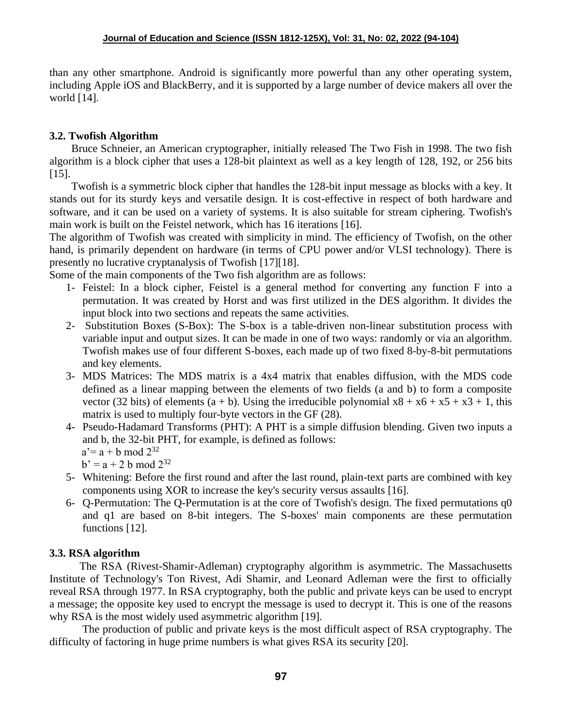than any other smartphone. Android is significantly more powerful than any other operating system, including Apple iOS and BlackBerry, and it is supported by a large number of device makers all over the world [14].

## **3.2. Twofish Algorithm**

 Bruce Schneier, an American cryptographer, initially released The Two Fish in 1998. The two fish algorithm is a block cipher that uses a 128-bit plaintext as well as a key length of 128, 192, or 256 bits [15].

 Twofish is a symmetric block cipher that handles the 128-bit input message as blocks with a key. It stands out for its sturdy keys and versatile design. It is cost-effective in respect of both hardware and software, and it can be used on a variety of systems. It is also suitable for stream ciphering. Twofish's main work is built on the Feistel network, which has 16 iterations [16].

The algorithm of Twofish was created with simplicity in mind. The efficiency of Twofish, on the other hand, is primarily dependent on hardware (in terms of CPU power and/or VLSI technology). There is presently no lucrative cryptanalysis of Twofish [17][18].

Some of the main components of the Two fish algorithm are as follows:

- 1- Feistel: In a block cipher, Feistel is a general method for converting any function F into a permutation. It was created by Horst and was first utilized in the DES algorithm. It divides the input block into two sections and repeats the same activities.
- 2- Substitution Boxes (S-Box): The S-box is a table-driven non-linear substitution process with variable input and output sizes. It can be made in one of two ways: randomly or via an algorithm. Twofish makes use of four different S-boxes, each made up of two fixed 8-by-8-bit permutations and key elements.
- 3- MDS Matrices: The MDS matrix is a 4x4 matrix that enables diffusion, with the MDS code defined as a linear mapping between the elements of two fields (a and b) to form a composite vector (32 bits) of elements (a + b). Using the irreducible polynomial  $x8 + x6 + x5 + x3 + 1$ , this matrix is used to multiply four-byte vectors in the GF (28).
- 4- Pseudo-Hadamard Transforms (PHT): A PHT is a simple diffusion blending. Given two inputs a and b, the 32-bit PHT, for example, is defined as follows:

 $a'= a + b \mod 2^{32}$ 

 $b' = a + 2 b \mod 2^{32}$ 

- 5- Whitening: Before the first round and after the last round, plain-text parts are combined with key components using XOR to increase the key's security versus assaults [16].
- 6- Q-Permutation: The Q-Permutation is at the core of Twofish's design. The fixed permutations q0 and q1 are based on 8-bit integers. The S-boxes' main components are these permutation functions [12].

## **3.3. RSA algorithm**

 The RSA (Rivest-Shamir-Adleman) cryptography algorithm is asymmetric. The Massachusetts Institute of Technology's Ton Rivest, Adi Shamir, and Leonard Adleman were the first to officially reveal RSA through 1977. In RSA cryptography, both the public and private keys can be used to encrypt a message; the opposite key used to encrypt the message is used to decrypt it. This is one of the reasons why RSA is the most widely used asymmetric algorithm [19].

 The production of public and private keys is the most difficult aspect of RSA cryptography. The difficulty of factoring in huge prime numbers is what gives RSA its security [20].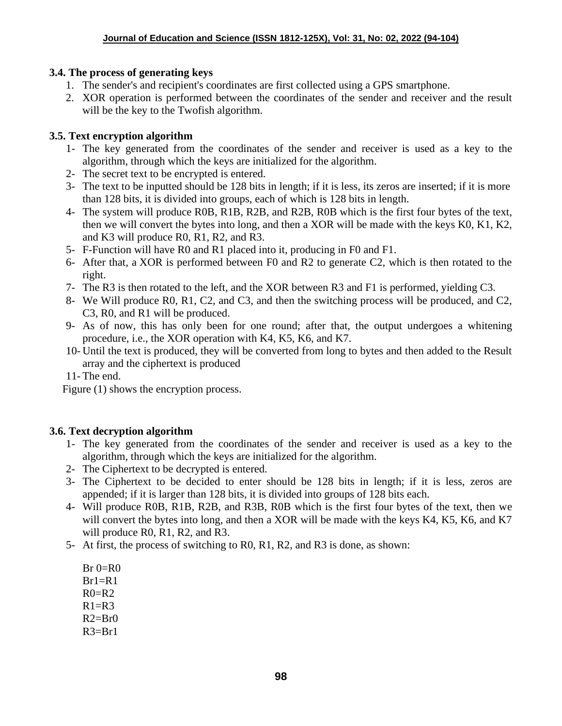# **3.4. The process of generating keys**

- 1. The sender's and recipient's coordinates are first collected using a GPS smartphone.
- 2. XOR operation is performed between the coordinates of the sender and receiver and the result will be the key to the Twofish algorithm.

# **3.5. Text encryption algorithm**

- 1- The key generated from the coordinates of the sender and receiver is used as a key to the algorithm, through which the keys are initialized for the algorithm.
- 2- The secret text to be encrypted is entered.
- 3- The text to be inputted should be 128 bits in length; if it is less, its zeros are inserted; if it is more than 128 bits, it is divided into groups, each of which is 128 bits in length.
- 4- The system will produce R0B, R1B, R2B, and R2B, R0B which is the first four bytes of the text, then we will convert the bytes into long, and then a XOR will be made with the keys K0, K1, K2, and K3 will produce R0, R1, R2, and R3.
- 5- F-Function will have R0 and R1 placed into it, producing in F0 and F1.
- 6- After that, a XOR is performed between F0 and R2 to generate C2, which is then rotated to the right.
- 7- The R3 is then rotated to the left, and the XOR between R3 and F1 is performed, yielding C3.
- 8- We Will produce R0, R1, C2, and C3, and then the switching process will be produced, and C2, C3, R0, and R1 will be produced.
- 9- As of now, this has only been for one round; after that, the output undergoes a whitening procedure, i.e., the XOR operation with K4, K5, K6, and K7.
- 10- Until the text is produced, they will be converted from long to bytes and then added to the Result array and the ciphertext is produced

11- The end.

Figure (1) shows the encryption process.

# **3.6. Text decryption algorithm**

- 1- The key generated from the coordinates of the sender and receiver is used as a key to the algorithm, through which the keys are initialized for the algorithm.
- 2- The Ciphertext to be decrypted is entered.
- 3- The Ciphertext to be decided to enter should be 128 bits in length; if it is less, zeros are appended; if it is larger than 128 bits, it is divided into groups of 128 bits each.
- 4- Will produce R0B, R1B, R2B, and R3B, R0B which is the first four bytes of the text, then we will convert the bytes into long, and then a XOR will be made with the keys K4, K5, K6, and K7 will produce R0, R1, R2, and R3.
- 5- At first, the process of switching to R0, R1, R2, and R3 is done, as shown:

 $Br$   $0=$ R $0$  $Br1=R1$  $R0=R2$  $R1=R3$  $R2=Br0$  $R3 = Br1$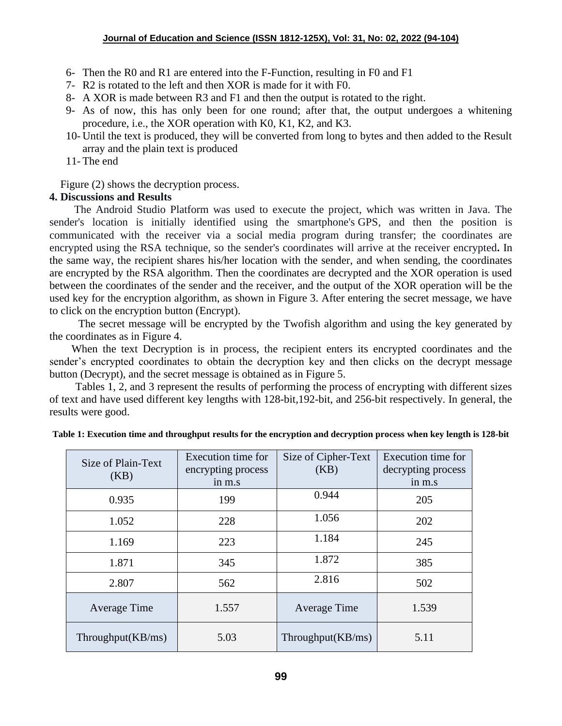- 6- Then the R0 and R1 are entered into the F-Function, resulting in F0 and F1
- 7- R2 is rotated to the left and then XOR is made for it with F0.
- 8- A XOR is made between R3 and F1 and then the output is rotated to the right.
- 9- As of now, this has only been for one round; after that, the output undergoes a whitening procedure, i.e., the XOR operation with K0, K1, K2, and K3.
- 10- Until the text is produced, they will be converted from long to bytes and then added to the Result array and the plain text is produced
- 11- The end

Figure (2) shows the decryption process.

## **4. Discussions and Results**

 The Android Studio Platform was used to execute the project, which was written in Java. The sender's location is initially identified using the smartphone's GPS, and then the position is communicated with the receiver via a social media program during transfer; the coordinates are encrypted using the RSA technique, so the sender's coordinates will arrive at the receiver encrypted**.** In the same way, the recipient shares his/her location with the sender, and when sending, the coordinates are encrypted by the RSA algorithm. Then the coordinates are decrypted and the XOR operation is used between the coordinates of the sender and the receiver, and the output of the XOR operation will be the used key for the encryption algorithm, as shown in Figure 3. After entering the secret message, we have to click on the encryption button (Encrypt).

The secret message will be encrypted by the Twofish algorithm and using the key generated by the coordinates as in Figure 4.

 When the text Decryption is in process, the recipient enters its encrypted coordinates and the sender's encrypted coordinates to obtain the decryption key and then clicks on the decrypt message button (Decrypt), and the secret message is obtained as in Figure 5.

Tables 1, 2, and 3 represent the results of performing the process of encrypting with different sizes of text and have used different key lengths with 128-bit,192-bit, and 256-bit respectively. In general, the results were good.

| Size of Plain-Text   | Execution time for<br>encrypting process | Size of Cipher-Text<br>(KB) | Execution time for<br>decrypting process |
|----------------------|------------------------------------------|-----------------------------|------------------------------------------|
| (KB)                 | in m.s                                   |                             | in m.s                                   |
| 0.935                | 199                                      | 0.944                       | 205                                      |
| 1.052                | 228                                      | 1.056                       | 202                                      |
| 1.169                | 223                                      | 1.184                       | 245                                      |
| 1.871                | 345                                      | 1.872                       | 385                                      |
| 2.807                | 562                                      | 2.816                       | 502                                      |
| Average Time         | 1.557                                    | Average Time                | 1.539                                    |
| Throughput $(KB/ms)$ | 5.03                                     | Throughput $(KB/ms)$        | 5.11                                     |

| Table 1: Execution time and throughput results for the encryption and decryption process when key length is 128-bit |  |  |  |
|---------------------------------------------------------------------------------------------------------------------|--|--|--|
|---------------------------------------------------------------------------------------------------------------------|--|--|--|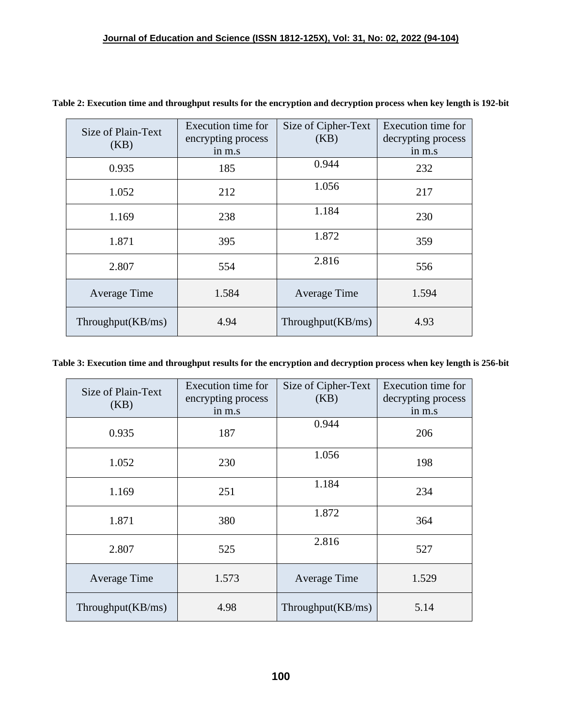| Size of Plain-Text<br>(KB) | Execution time for<br>encrypting process<br>in m.s | Size of Cipher-Text<br>(KB) | Execution time for<br>decrypting process<br>in m.s |
|----------------------------|----------------------------------------------------|-----------------------------|----------------------------------------------------|
| 0.935                      | 185                                                | 0.944                       | 232                                                |
| 1.052                      | 212                                                | 1.056                       | 217                                                |
| 1.169                      | 238                                                | 1.184                       | 230                                                |
| 1.871                      | 395                                                | 1.872                       | 359                                                |
| 2.807                      | 554                                                | 2.816                       | 556                                                |
| Average Time               | 1.584                                              | Average Time                | 1.594                                              |
| Throughput $(KB/ms)$       | 4.94                                               | Throughput(KB/ms)           | 4.93                                               |

**Table 2: Execution time and throughput results for the encryption and decryption process when key length is 192-bit**

## **Table 3: Execution time and throughput results for the encryption and decryption process when key length is 256-bit**

| Size of Plain-Text<br>(KB) | Execution time for<br>encrypting process<br>in m.s | Size of Cipher-Text<br>(KB) | Execution time for<br>decrypting process<br>in m.s |
|----------------------------|----------------------------------------------------|-----------------------------|----------------------------------------------------|
| 0.935                      | 187                                                | 0.944                       | 206                                                |
| 1.052                      | 230                                                | 1.056                       | 198                                                |
| 1.169                      | 251                                                | 1.184                       | 234                                                |
| 1.871                      | 380                                                | 1.872                       | 364                                                |
| 2.807                      | 525                                                | 2.816                       | 527                                                |
| Average Time               | 1.573                                              | Average Time                | 1.529                                              |
| Throughput $(KB/ms)$       | 4.98                                               | Throughput $(KB/ms)$        | 5.14                                               |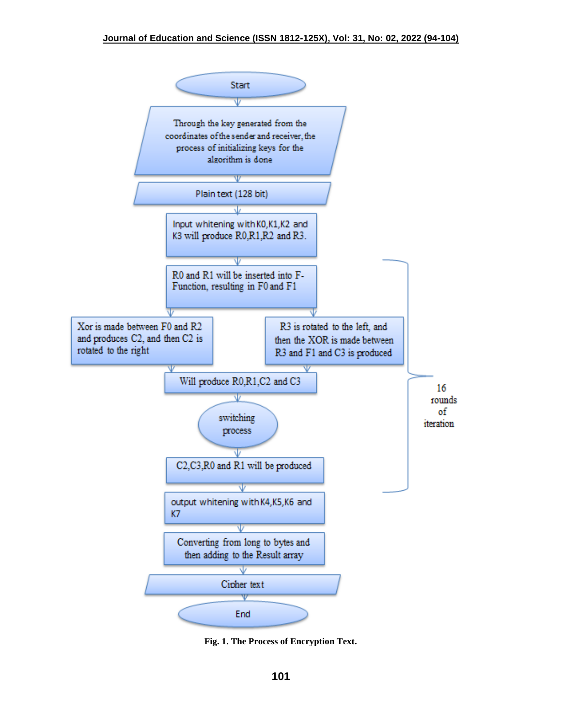

**Fig. 1. The Process of Encryption Text.**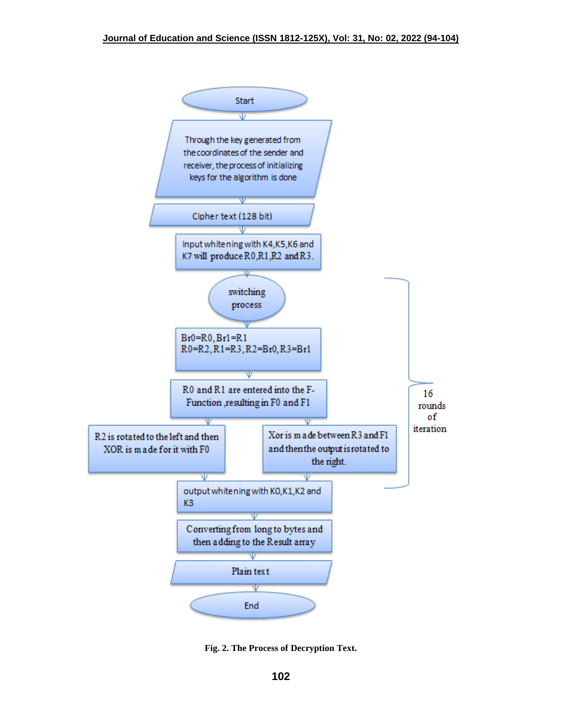

**Fig. 2. The Process of Decryption Text.**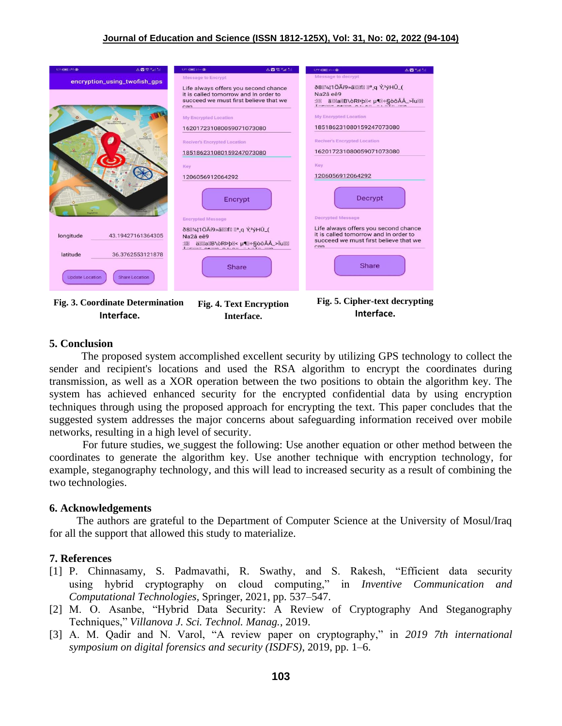| $1/11 = 1/11$ (0)                                                                                   | △図字"』            | △■金%dl.5dl<br>$t$ :Y1 (1981) $x$ 1 - $\circledcirc$                                                                                                                                                                                                                                                                      | LITT (IME XI++ OD)<br>△ ■ "al "al                                                                                                                                                                                                                                                                           |
|-----------------------------------------------------------------------------------------------------|------------------|--------------------------------------------------------------------------------------------------------------------------------------------------------------------------------------------------------------------------------------------------------------------------------------------------------------------------|-------------------------------------------------------------------------------------------------------------------------------------------------------------------------------------------------------------------------------------------------------------------------------------------------------------|
| encryption_using_twofish_gps                                                                        |                  | Message to Encrypt<br>Life always offers you second chance<br>it is called tomorrow and In order to<br>succeed we must first believe that we<br>can<br><b>My Encrypted Location</b><br>162017231080059071073080<br><b>Reciver's Encrypted Location</b><br>185186231080159247073080<br>Key<br>1206056912064292<br>Encrypt | Message to decrypt<br>88M1410Aí9» a Manual Manual Y, 3ýHÛ (<br>Na2â eê9<br>:M äMMaMB\oRPbM< u%=SooAA_>IuMM<br><b>My Encrypted Location</b><br>185186231080159247073080<br><b>Reciver's Encrypted Location</b><br>162017231080059071073080<br>Key<br>1206056912064292<br>Decrypt<br><b>Decrypted Message</b> |
| longitude<br>43.19427161364305<br>latitude<br><b>Update Location</b><br><b>Share Location</b>       | 36.3762553121878 | <b>Encrypted Message</b><br>ð8⊠¼¦1ÖÃí9»ã⊠⊠f <b>Na</b> q Ý, <sup>3</sup> ýHÛ_(<br>Na <sub>2</sub> â eê9<br>:M äMMaMB\oRPpM< µ¶M÷§òôÅÅ_>ÏuMM<br><b>Share</b>                                                                                                                                                               | Life always offers you second chance<br>it is called tomorrow and In order to<br>succeed we must first believe that we<br>ran<br><b>Share</b>                                                                                                                                                               |
| Fig. 3. Coordinate Determination<br><b>Fig. 4. Text Encryption</b><br>Intrffac<br>$I = \frac{1}{2}$ |                  |                                                                                                                                                                                                                                                                                                                          | Fig. 5. Cipher-text decrypting<br>Interface.                                                                                                                                                                                                                                                                |

**Interface.**

**Interface.**

 The proposed system accomplished excellent security by utilizing GPS technology to collect the sender and recipient's locations and used the RSA algorithm to encrypt the coordinates during transmission, as well as a XOR operation between the two positions to obtain the algorithm key. The system has achieved enhanced security for the encrypted confidential data by using encryption techniques through using the proposed approach for encrypting the text. This paper concludes that the suggested system addresses the major concerns about safeguarding information received over mobile networks, resulting in a high level of security.

For future studies, we suggest the following: Use another equation or other method between the coordinates to generate the algorithm key. Use another technique with encryption technology, for example, steganography technology, and this will lead to increased security as a result of combining the two technologies.

## **6. Acknowledgements**

The authors are grateful to the Department of Computer Science at the University of Mosul/Iraq for all the support that allowed this study to materialize.

## **7. References**

**5. Conclusion**

- [1] P. Chinnasamy, S. Padmavathi, R. Swathy, and S. Rakesh, "Efficient data security using hybrid cryptography on cloud computing," in *Inventive Communication and Computational Technologies*, Springer, 2021, pp. 537–547.
- [2] M. O. Asanbe, "Hybrid Data Security: A Review of Cryptography And Steganography Techniques," *Villanova J. Sci. Technol. Manag.*, 2019.
- [3] A. M. Qadir and N. Varol, "A review paper on cryptography," in *2019 7th international symposium on digital forensics and security (ISDFS)*, 2019, pp. 1–6.